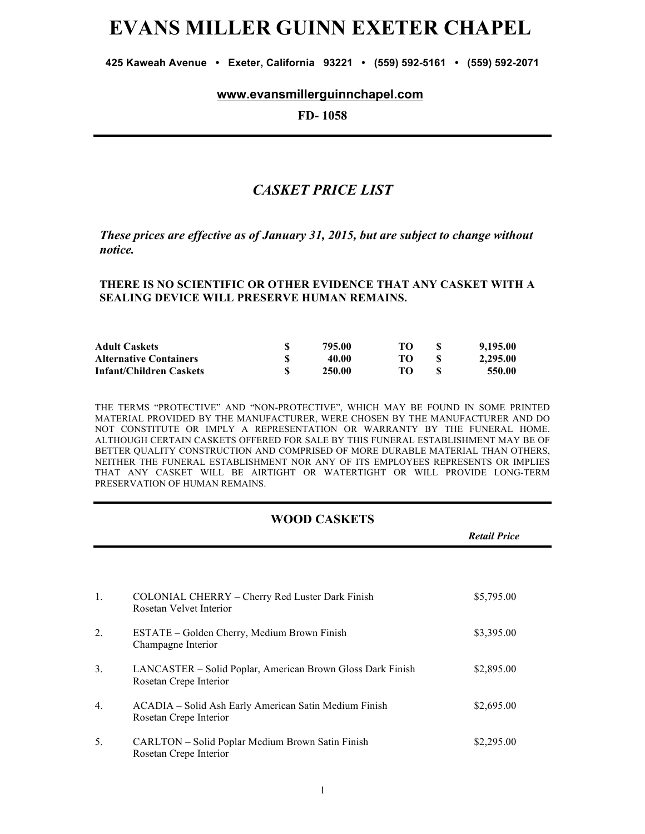# **EVANS MILLER GUINN EXETER CHAPEL**

**425 Kaweah Avenue • Exeter, California 93221 • (559) 592-5161 • (559) 592-2071**

#### **www.evansmillerguinnchapel.com**

**FD- 1058**

## *CASKET PRICE LIST*

*These prices are effective as of January 31, 2015, but are subject to change without notice.*

#### **THERE IS NO SCIENTIFIC OR OTHER EVIDENCE THAT ANY CASKET WITH A SEALING DEVICE WILL PRESERVE HUMAN REMAINS.**

| <b>Adult Caskets</b>          | 795.00 | TO. | 9,195.00 |
|-------------------------------|--------|-----|----------|
| <b>Alternative Containers</b> | 40.00  |     | 2,295.00 |
| Infant/Children Caskets       | 250.00 | TO. | 550.00   |

THE TERMS "PROTECTIVE" AND "NON-PROTECTIVE", WHICH MAY BE FOUND IN SOME PRINTED MATERIAL PROVIDED BY THE MANUFACTURER, WERE CHOSEN BY THE MANUFACTURER AND DO NOT CONSTITUTE OR IMPLY A REPRESENTATION OR WARRANTY BY THE FUNERAL HOME. ALTHOUGH CERTAIN CASKETS OFFERED FOR SALE BY THIS FUNERAL ESTABLISHMENT MAY BE OF BETTER QUALITY CONSTRUCTION AND COMPRISED OF MORE DURABLE MATERIAL THAN OTHERS, NEITHER THE FUNERAL ESTABLISHMENT NOR ANY OF ITS EMPLOYEES REPRESENTS OR IMPLIES THAT ANY CASKET WILL BE AIRTIGHT OR WATERTIGHT OR WILL PROVIDE LONG-TERM PRESERVATION OF HUMAN REMAINS.

#### **WOOD CASKETS**

|                  |                                                                                      | <b>Retail Price</b> |
|------------------|--------------------------------------------------------------------------------------|---------------------|
|                  |                                                                                      |                     |
| 1.               | COLONIAL CHERRY – Cherry Red Luster Dark Finish<br>Rosetan Velvet Interior           | \$5,795.00          |
| $\overline{2}$ . | ESTATE – Golden Cherry, Medium Brown Finish<br>Champagne Interior                    | \$3,395.00          |
| 3 <sub>1</sub>   | LANCASTER - Solid Poplar, American Brown Gloss Dark Finish<br>Rosetan Crepe Interior | \$2,895.00          |
| 4 <sub>1</sub>   | ACADIA – Solid Ash Early American Satin Medium Finish<br>Rosetan Crepe Interior      | \$2,695.00          |
| 5.               | CARLTON - Solid Poplar Medium Brown Satin Finish<br>Rosetan Crepe Interior           | \$2,295.00          |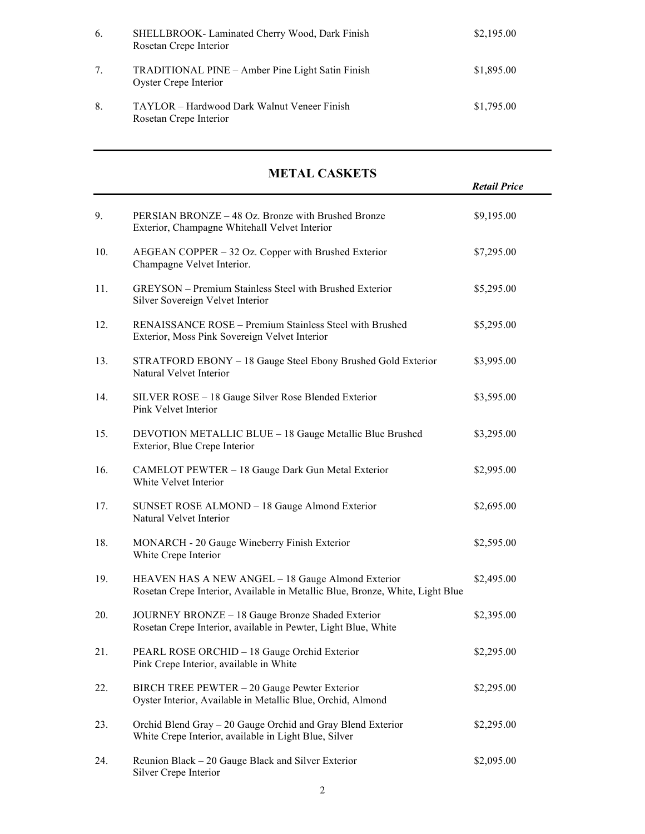| 6. | SHELLBROOK- Laminated Cherry Wood, Dark Finish<br>Rosetan Crepe Interior  | \$2,195.00 |
|----|---------------------------------------------------------------------------|------------|
| 7. | TRADITIONAL PINE – Amber Pine Light Satin Finish<br>Oyster Crepe Interior | \$1,895.00 |
| 8. | TAYLOR – Hardwood Dark Walnut Veneer Finish<br>Rosetan Crepe Interior     | \$1,795.00 |

# **METAL CASKETS**

|     |                                                                                                                                    | <b>Retail Price</b> |
|-----|------------------------------------------------------------------------------------------------------------------------------------|---------------------|
| 9.  | PERSIAN BRONZE - 48 Oz. Bronze with Brushed Bronze<br>Exterior, Champagne Whitehall Velvet Interior                                | \$9,195.00          |
| 10. | AEGEAN COPPER – 32 Oz. Copper with Brushed Exterior<br>Champagne Velvet Interior.                                                  | \$7,295.00          |
| 11. | GREYSON - Premium Stainless Steel with Brushed Exterior<br>Silver Sovereign Velvet Interior                                        | \$5,295.00          |
| 12. | RENAISSANCE ROSE - Premium Stainless Steel with Brushed<br>Exterior, Moss Pink Sovereign Velvet Interior                           | \$5,295.00          |
| 13. | STRATFORD EBONY - 18 Gauge Steel Ebony Brushed Gold Exterior<br>Natural Velvet Interior                                            | \$3,995.00          |
| 14. | SILVER ROSE - 18 Gauge Silver Rose Blended Exterior<br>Pink Velvet Interior                                                        | \$3,595.00          |
| 15. | DEVOTION METALLIC BLUE - 18 Gauge Metallic Blue Brushed<br>Exterior, Blue Crepe Interior                                           | \$3,295.00          |
| 16. | CAMELOT PEWTER - 18 Gauge Dark Gun Metal Exterior<br>White Velvet Interior                                                         | \$2,995.00          |
| 17. | SUNSET ROSE ALMOND - 18 Gauge Almond Exterior<br>Natural Velvet Interior                                                           | \$2,695.00          |
| 18. | MONARCH - 20 Gauge Wineberry Finish Exterior<br>White Crepe Interior                                                               | \$2,595.00          |
| 19. | HEAVEN HAS A NEW ANGEL - 18 Gauge Almond Exterior<br>Rosetan Crepe Interior, Available in Metallic Blue, Bronze, White, Light Blue | \$2,495.00          |
| 20. | JOURNEY BRONZE - 18 Gauge Bronze Shaded Exterior<br>Rosetan Crepe Interior, available in Pewter, Light Blue, White                 | \$2,395.00          |
| 21. | PEARL ROSE ORCHID - 18 Gauge Orchid Exterior<br>Pink Crepe Interior, available in White                                            | \$2,295.00          |
| 22. | BIRCH TREE PEWTER - 20 Gauge Pewter Exterior<br>Oyster Interior, Available in Metallic Blue, Orchid, Almond                        | \$2,295.00          |
| 23. | Orchid Blend Gray - 20 Gauge Orchid and Gray Blend Exterior<br>White Crepe Interior, available in Light Blue, Silver               | \$2,295.00          |
| 24. | Reunion Black - 20 Gauge Black and Silver Exterior<br>Silver Crepe Interior                                                        | \$2,095.00          |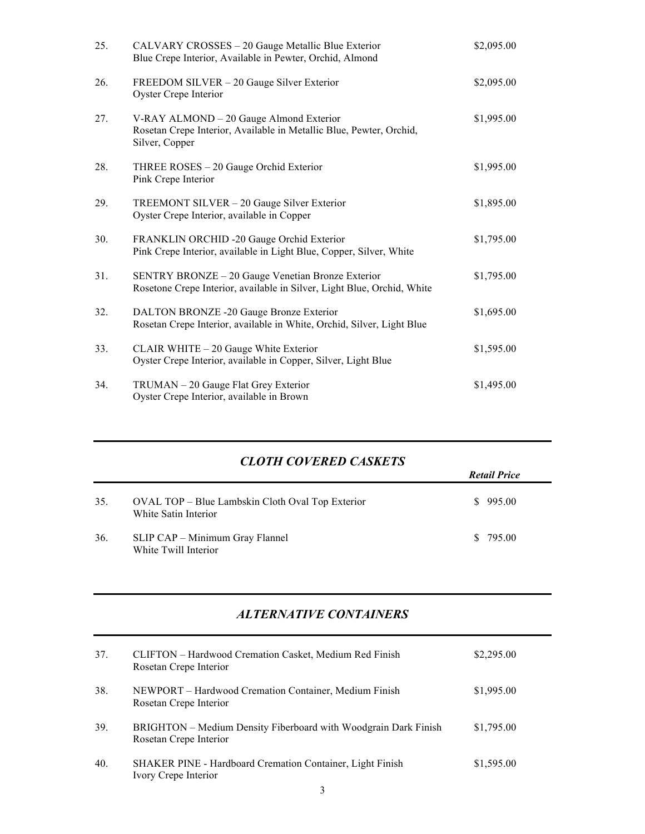| 25. | CALVARY CROSSES - 20 Gauge Metallic Blue Exterior<br>Blue Crepe Interior, Available in Pewter, Orchid, Almond                    | \$2,095.00 |
|-----|----------------------------------------------------------------------------------------------------------------------------------|------------|
| 26. | FREEDOM SILVER - 20 Gauge Silver Exterior<br>Oyster Crepe Interior                                                               | \$2,095.00 |
| 27. | V-RAY ALMOND - 20 Gauge Almond Exterior<br>Rosetan Crepe Interior, Available in Metallic Blue, Pewter, Orchid,<br>Silver, Copper | \$1,995.00 |
| 28. | THREE ROSES - 20 Gauge Orchid Exterior<br>Pink Crepe Interior                                                                    | \$1,995.00 |
| 29. | TREEMONT SILVER - 20 Gauge Silver Exterior<br>Oyster Crepe Interior, available in Copper                                         | \$1,895.00 |
| 30. | FRANKLIN ORCHID -20 Gauge Orchid Exterior<br>Pink Crepe Interior, available in Light Blue, Copper, Silver, White                 | \$1,795.00 |
| 31. | SENTRY BRONZE - 20 Gauge Venetian Bronze Exterior<br>Rosetone Crepe Interior, available in Silver, Light Blue, Orchid, White     | \$1,795.00 |
| 32. | DALTON BRONZE -20 Gauge Bronze Exterior<br>Rosetan Crepe Interior, available in White, Orchid, Silver, Light Blue                | \$1,695.00 |
| 33. | CLAIR WHITE - 20 Gauge White Exterior<br>Oyster Crepe Interior, available in Copper, Silver, Light Blue                          | \$1,595.00 |
| 34. | TRUMAN - 20 Gauge Flat Grey Exterior<br>Oyster Crepe Interior, available in Brown                                                | \$1,495.00 |

# *CLOTH COVERED CASKETS*

|     |                                                                          | <b>Retail Price</b> |  |  |
|-----|--------------------------------------------------------------------------|---------------------|--|--|
| 35. | OVAL TOP – Blue Lambskin Cloth Oval Top Exterior<br>White Satin Interior | \$995.00            |  |  |
| 36. | SLIP CAP – Minimum Gray Flannel<br>White Twill Interior                  | \$ 795.00           |  |  |

### *ALTERNATIVE CONTAINERS*

| 37. | CLIFTON – Hardwood Cremation Casket, Medium Red Finish<br>Rosetan Crepe Interior          | \$2,295.00 |
|-----|-------------------------------------------------------------------------------------------|------------|
| 38. | NEWPORT – Hardwood Cremation Container, Medium Finish<br>Rosetan Crepe Interior           | \$1,995.00 |
| 39. | BRIGHTON – Medium Density Fiberboard with Woodgrain Dark Finish<br>Rosetan Crepe Interior | \$1,795.00 |
| 40. | <b>SHAKER PINE - Hardboard Cremation Container, Light Finish</b><br>Ivory Crepe Interior  | \$1,595.00 |